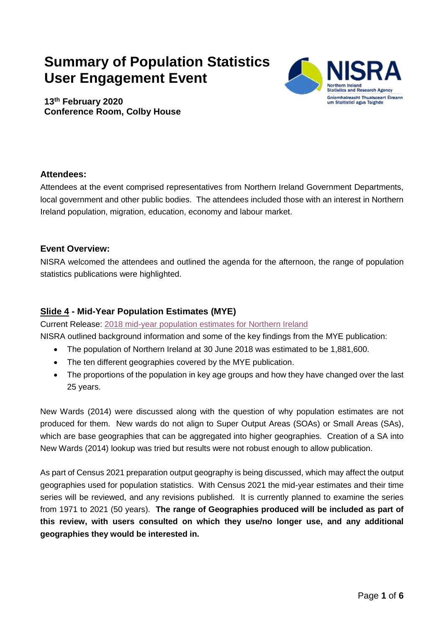# **Summary of Population Statistics User Engagement Event**



**13th February 2020 Conference Room, Colby House** 

## **Attendees:**

 Attendees at the event comprised representatives from Northern Ireland Government Departments, local government and other public bodies. The attendees included those with an interest in Northern Ireland population, migration, education, economy and labour market.

#### **Event Overview:**

 NISRA welcomed the attendees and outlined the agenda for the afternoon, the range of population statistics publications were highlighted.

## **Slide 4 - Mid-Year Population Estimates (MYE)**

Current Release: 2018 mid-year population estimates for Northern Ireland

NISRA outlined background information and some of the key findings from the MYE publication:

- $\bullet$ The population of Northern Ireland at 30 June 2018 was estimated to be 1,881,600.
- The ten different geographies covered by the MYE publication.
- The proportions of the population in key age groups and how they have changed over the last 25 years.

 New Wards (2014) were discussed along with the question of why population estimates are not produced for them. New wards do not align to Super Output Areas (SOAs) or Small Areas (SAs), which are base geographies that can be aggregated into higher geographies. Creation of a SA into New Wards (2014) lookup was tried but results were not robust enough to allow publication.

 As part of Census 2021 preparation output geography is being discussed, which may affect the output geographies used for population statistics. With Census 2021 the mid-year estimates and their time series will be reviewed, and any revisions published. It is currently planned to examine the series from 1971 to 2021 (50 years). **The range of Geographies produced will be included as part of this review, with users consulted on which they use/no longer use, and any additional geographies they would be interested in.**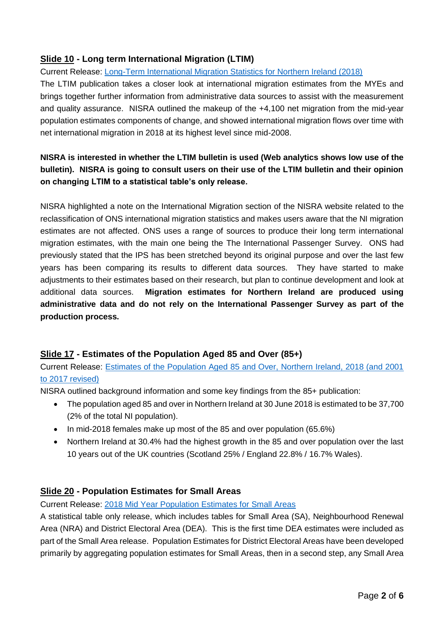## **Slide 10 - Long term International Migration (LTIM)**

Current Release: [Long-Term International Migration Statistics for Northern Ireland \(2018\)](https://www.nisra.gov.uk/publications/long-term-international-migration-statistics-northern-ireland-2018-charts) 

 The LTIM publication takes a closer look at international migration estimates from the MYEs and brings together further information from administrative data sources to assist with the measurement and quality assurance. NISRA outlined the makeup of the +4,100 net migration from the mid-year population estimates components of change, and showed international migration flows over time with net international migration in 2018 at its highest level since mid-2008.

# **NISRA is interested in whether the LTIM bulletin is used (Web analytics shows low use of the bulletin). NISRA is going to consult users on their use of the LTIM bulletin and their opinion on changing LTIM to a statistical table's only release.**

 NISRA highlighted a note on the International Migration section of the NISRA website related to the reclassification of ONS international migration statistics and makes users aware that the NI migration estimates are not affected. ONS uses a range of sources to produce their long term international migration estimates, with the main one being the The International Passenger Survey. ONS had previously stated that the IPS has been stretched beyond its original purpose and over the last few years has been comparing its results to different data sources. They have started to make adjustments to their estimates based on their research, but plan to continue development and look at additional data sources.  **administrative data and do not rely on the International Passenger Survey as part of the**  Migration estimates for Northern Ireland are produced using **production process.** 

#### **Slide 17 - Estimates of the Population Aged 85 and Over (85+)**

 Current Release: [Estimates of the Population Aged 85 and Over, Northern Ireland, 2018 \(and 2001](https://www.nisra.gov.uk/publications/estimates-population-aged-85-and-over-northern-ireland-2018-and-2001-2017-revised)  [to 2017 revised\)](https://www.nisra.gov.uk/publications/estimates-population-aged-85-and-over-northern-ireland-2018-and-2001-2017-revised)

NISRA outlined background information and some key findings from the 85+ publication:

- The population aged 85 and over in Northern Ireland at 30 June 2018 is estimated to be 37,700 (2% of the total NI population).
- In mid-2018 females make up most of the 85 and over population (65.6%)
- Northern Ireland at 30.4% had the highest growth in the 85 and over population over the last 10 years out of the UK countries (Scotland 25% / England 22.8% / 16.7% Wales).

## **Slide 20 - Population Estimates for Small Areas**

Current Release: [2018 Mid Year Population Estimates for Small Areas](https://www.nisra.gov.uk/publications/2018-mid-year-population-estimates-small-areas) 

 A statistical table only release, which includes tables for Small Area (SA), Neighbourhood Renewal Area (NRA) and District Electoral Area (DEA). This is the first time DEA estimates were included as part of the Small Area release. Population Estimates for District Electoral Areas have been developed primarily by aggregating population estimates for Small Areas, then in a second step, any Small Area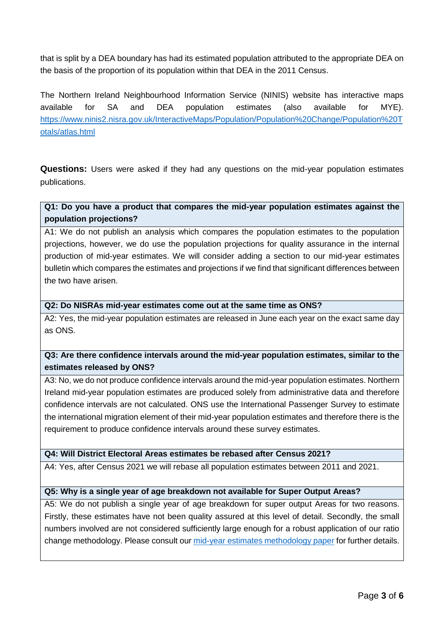that is split by a DEA boundary has had its estimated population attributed to the appropriate DEA on the basis of the proportion of its population within that DEA in the 2011 Census.

 The Northern Ireland Neighbourhood Information Service (NINIS) website has interactive maps available for SA and DEA population estimates (also available for MYE). [https://www.ninis2.nisra.gov.uk/InteractiveMaps/Population/Population%20Change/Population%20T](https://www.ninis2.nisra.gov.uk/InteractiveMaps/Population/Population%20Change/Population%20Totals/atlas.html)  [otals/atlas.html](https://www.ninis2.nisra.gov.uk/InteractiveMaps/Population/Population%20Change/Population%20Totals/atlas.html) 

 **Questions:** Users were asked if they had any questions on the mid-year population estimates publications.

#### **Q1: Do you have a product that compares the mid-year population estimates against the population projections?**

 A1: We do not publish an analysis which compares the population estimates to the population projections, however, we do use the population projections for quality assurance in the internal production of mid-year estimates. We will consider adding a section to our mid-year estimates bulletin which compares the estimates and projections if we find that significant differences between the two have arisen.

#### **Q2: Do NISRAs mid-year estimates come out at the same time as ONS?**

 A2: Yes, the mid-year population estimates are released in June each year on the exact same day as ONS.

## **Q3: Are there confidence intervals around the mid-year population estimates, similar to the estimates released by ONS?**

 A3: No, we do not produce confidence intervals around the mid-year population estimates. Northern Ireland mid-year population estimates are produced solely from administrative data and therefore confidence intervals are not calculated. ONS use the International Passenger Survey to estimate the international migration element of their mid-year population estimates and therefore there is the requirement to produce confidence intervals around these survey estimates.

#### **Q4: Will District Electoral Areas estimates be rebased after Census 2021?**

A4: Yes, after Census 2021 we will rebase all population estimates between 2011 and 2021.

#### **Q5: Why is a single year of age breakdown not available for Super Output Areas?**

 A5: We do not publish a single year of age breakdown for super output Areas for two reasons. Firstly, these estimates have not been quality assured at this level of detail. Secondly, the small numbers involved are not considered sufficiently large enough for a robust application of our ratio change methodology. Please consult our *mid-year estimates methodology paper* for further details.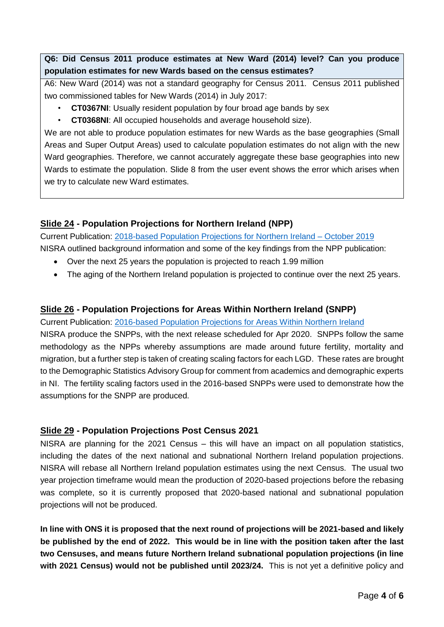**Q6: Did Census 2011 produce estimates at New Ward (2014) level? Can you produce population estimates for new Wards based on the census estimates?** 

 A6: New Ward (2014) was not a standard geography for Census 2011. Census 2011 published two commissioned tables for New Wards (2014) in July 2017:

- **CT0367NI**: Usually resident population by four broad age bands by sex
- **CT0368NI**: All occupied households and average household size).

 We are not able to produce population estimates for new Wards as the base geographies (Small Areas and Super Output Areas) used to calculate population estimates do not align with the new Ward geographies. Therefore, we cannot accurately aggregate these base geographies into new Wards to estimate the population. Slide 8 from the user event shows the error which arises when we try to calculate new Ward estimates.

#### **Slide 24 - Population Projections for Northern Ireland (NPP)**

 Current Publication: [2018-based Population Projections for Northern Ireland –](https://www.nisra.gov.uk/publications/2018-based-population-projections-northern-ireland) October 2019 NISRA outlined background information and some of the key findings from the NPP publication:

- Over the next 25 years the population is projected to reach 1.99 million
- The aging of the Northern Ireland population is projected to continue over the next 25 years.

#### **Slide 26 - Population Projections for Areas Within Northern Ireland (SNPP)**

#### Current Publication: [2016-based Population Projections for Areas Within Northern Ireland](https://www.nisra.gov.uk/publications/2016-based-population-projections-areas-within-northern-ireland)

 NISRA produce the SNPPs, with the next release scheduled for Apr 2020. SNPPs follow the same methodology as the NPPs whereby assumptions are made around future fertility, mortality and migration, but a further step is taken of creating scaling factors for each LGD. These rates are brought to the Demographic Statistics Advisory Group for comment from academics and demographic experts in NI. The fertility scaling factors used in the 2016-based SNPPs were used to demonstrate how the assumptions for the SNPP are produced.

#### **Slide 29 - Population Projections Post Census 2021**

 NISRA are planning for the 2021 Census – this will have an impact on all population statistics, including the dates of the next national and subnational Northern Ireland population projections. NISRA will rebase all Northern Ireland population estimates using the next Census. The usual two year projection timeframe would mean the production of 2020-based projections before the rebasing was complete, so it is currently proposed that 2020-based national and subnational population projections will not be produced.

 **In line with ONS it is proposed that the next round of projections will be 2021-based and likely be published by the end of 2022. This would be in line with the position taken after the last two Censuses, and means future Northern Ireland subnational population projections (in line**  with 2021 Census) would not be published until 2023/24. This is not yet a definitive policy and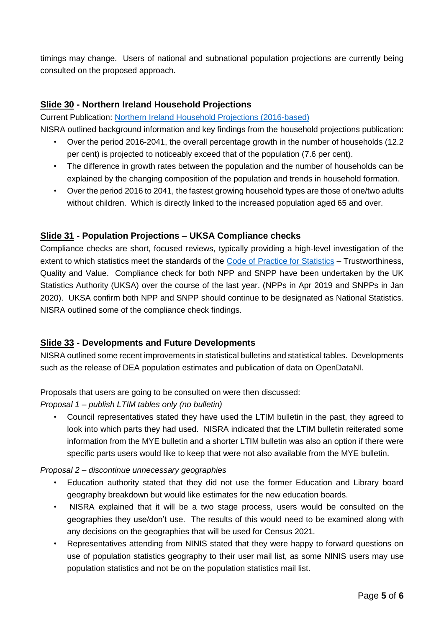timings may change. Users of national and subnational population projections are currently being consulted on the proposed approach.

#### **Slide 30 - Northern Ireland Household Projections**

Current Publication: [Northern Ireland Household Projections \(2016-based\)](https://www.nisra.gov.uk/publications/northern-ireland-household-projections-2016-based)

NISRA outlined background information and key findings from the household projections publication:

- Over the period 2016-2041, the overall percentage growth in the number of households (12.2) per cent) is projected to noticeably exceed that of the population (7.6 per cent).
- The difference in growth rates between the population and the number of households can be explained by the changing composition of the population and trends in household formation.
- Over the period 2016 to 2041, the fastest growing household types are those of one/two adults without children. Which is directly linked to the increased population aged 65 and over.

#### **Slide 31 - Population Projections – UKSA Compliance checks**

 Compliance checks are short, focused reviews, typically providing a high-level investigation of the extent to which statistics meet the standards of the [Code of Practice for Statistics](https://www.statisticsauthority.gov.uk/publication/code-of-practice/) - Trustworthiness, Quality and Value. Compliance check for both NPP and SNPP have been undertaken by the UK Statistics Authority (UKSA) over the course of the last year. (NPPs in Apr 2019 and SNPPs in Jan 2020). UKSA confirm both NPP and SNPP should continue to be designated as National Statistics. NISRA outlined some of the compliance check findings.

#### **Slide 33 - Developments and Future Developments**

 NISRA outlined some recent improvements in statistical bulletins and statistical tables. Developments such as the release of DEA population estimates and publication of data on OpenDataNI.

Proposals that users are going to be consulted on were then discussed:

 *Proposal 1 – publish LTIM tables only (no bulletin)* 

 look into which parts they had used. NISRA indicated that the LTIM bulletin reiterated some information from the MYE bulletin and a shorter LTIM bulletin was also an option if there were specific parts users would like to keep that were not also available from the MYE bulletin. Council representatives stated they have used the LTIM bulletin in the past, they agreed to

#### *Proposal 2 – discontinue unnecessary geographies*

- Education authority stated that they did not use the former Education and Library board geography breakdown but would like estimates for the new education boards.
- $\bullet$  geographies they use/don't use. The results of this would need to be examined along with any decisions on the geographies that will be used for Census 2021. NISRA explained that it will be a two stage process, users would be consulted on the
- Representatives attending from NINIS stated that they were happy to forward questions on use of population statistics geography to their user mail list, as some NINIS users may use population statistics and not be on the population statistics mail list.